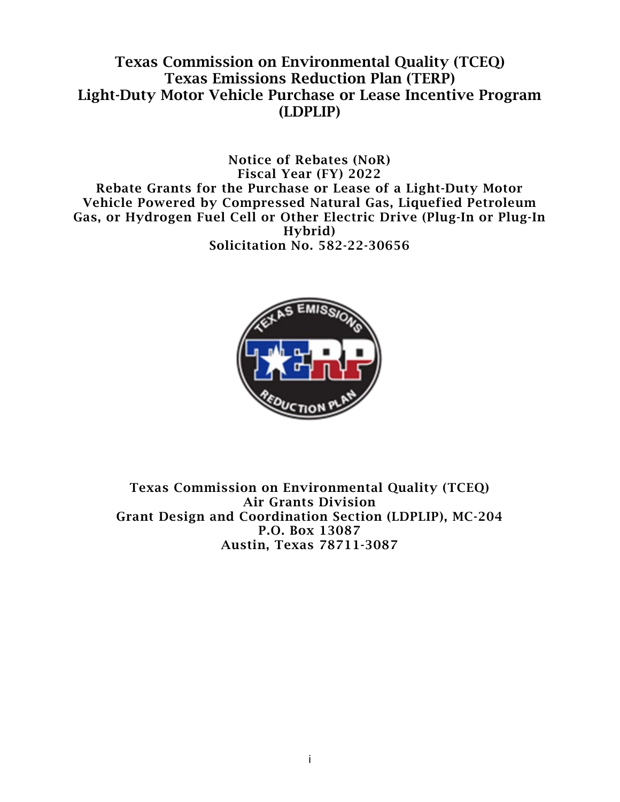# Texas Commission on Environmental Quality (TCEQ) Texas Emissions Reduction Plan (TERP) Light-Duty Motor Vehicle Purchase or Lease Incentive Program (LDPLIP)

 Notice of Rebates (NoR) Fiscal Year (FY) 2022 Rebate Grants for the Purchase or Lease of a Light-Duty Motor Vehicle Powered by Compressed Natural Gas, Liquefied Petroleum Gas, or Hydrogen Fuel Cell or Other Electric Drive (Plug-In or Plug-In Hybrid) Solicitation No. 582-22-30656



 Texas Commission on Environmental Quality (TCEQ) Grant Design and Coordination Section (LDPLIP), MC-204 P.O. Box 13087 Air Grants Division Austin, Texas 78711-3087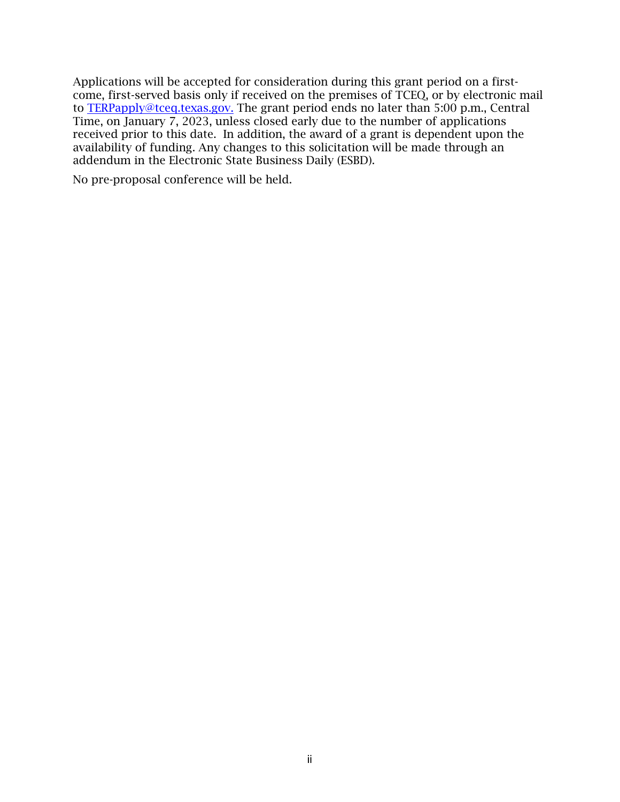availability of funding. Any changes to this solicitation will be made through an Applications will be accepted for consideration during this grant period on a firstcome, first-served basis only if received on the premises of TCEQ, or by electronic mail to [TERPapply@tceq.texas.gov.](mailto:TERPapply@tceq.texas.gov) The grant period ends no later than 5:00 p.m., Central Time, on January 7, 2023, unless closed early due to the number of applications received prior to this date. In addition, the award of a grant is dependent upon the addendum in the Electronic State Business Daily (ESBD).

No pre-proposal conference will be held.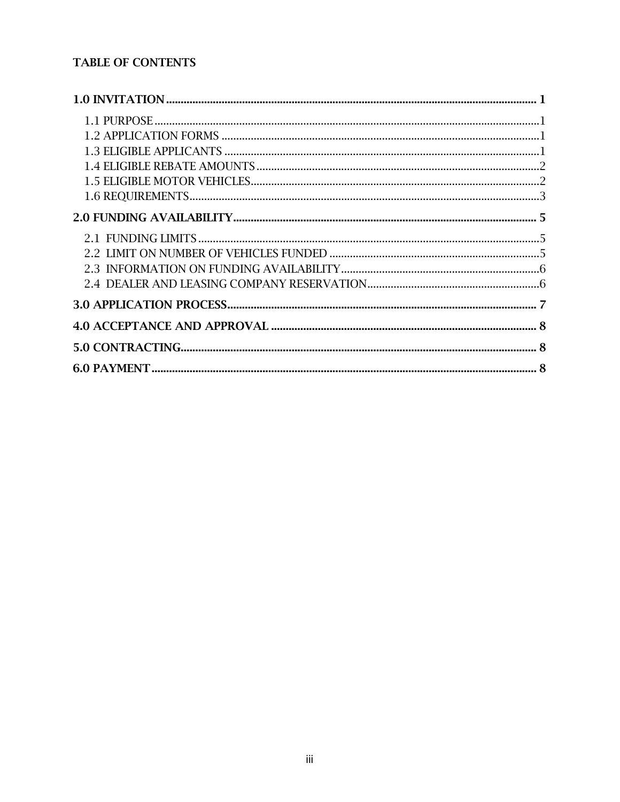## **TABLE OF CONTENTS**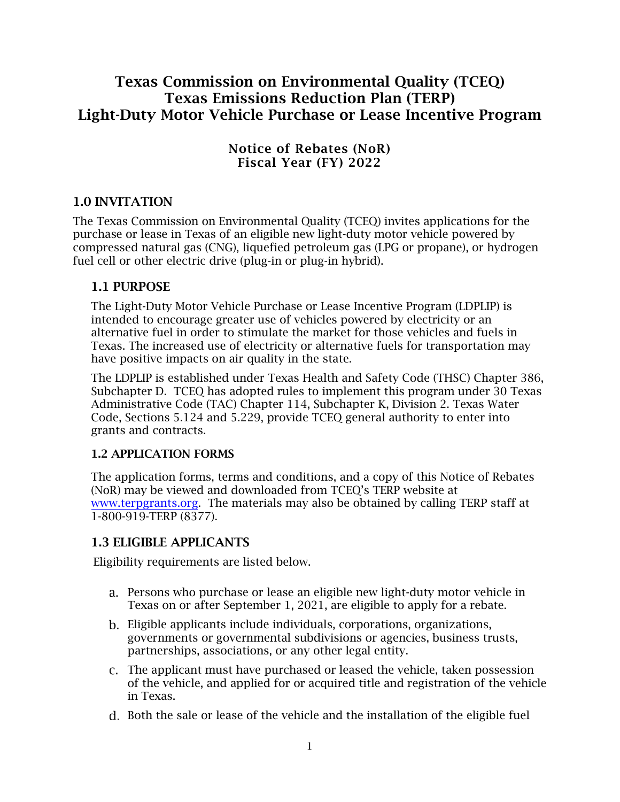# Texas Commission on Environmental Quality (TCEQ) Texas Emissions Reduction Plan (TERP) Light-Duty Motor Vehicle Purchase or Lease Incentive Program

#### <span id="page-3-2"></span> Notice of Rebates (NoR) Fiscal Year (FY) 2022

### <span id="page-3-0"></span>1.0 INVITATION

 purchase or lease in Texas of an eligible new light-duty motor vehicle powered by compressed natural gas (CNG), liquefied petroleum gas (LPG or propane), or hydrogen The Texas Commission on Environmental Quality (TCEQ) invites applications for the fuel cell or other electric drive (plug-in or plug-in hybrid).

### <span id="page-3-1"></span>1.1 PURPOSE

 have positive impacts on air quality in the state. The Light-Duty Motor Vehicle Purchase or Lease Incentive Program (LDPLIP) is intended to encourage greater use of vehicles powered by electricity or an alternative fuel in order to stimulate the market for those vehicles and fuels in Texas. The increased use of electricity or alternative fuels for transportation may

 Subchapter D. TCEQ has adopted rules to implement this program under 30 Texas The LDPLIP is established under Texas Health and Safety Code (THSC) Chapter 386, Administrative Code (TAC) Chapter 114, Subchapter K, Division 2. Texas Water Code, Sections 5.124 and 5.229, provide TCEQ general authority to enter into grants and contracts.

### 1.2 APPLICATION FORMS

www.terpgrants.org. The materials may also be obtained by calling TERP staff at The application forms, terms and conditions, and a copy of this Notice of Rebates (NoR) may be viewed and downloaded from TCEQ's TERP website at [1-800-919-TERP \(837](http://www.terpgrants.org/)7).

### <span id="page-3-3"></span>1.3 ELIGIBLE APPLICANTS

Eligibility requirements are listed below.

- a. Persons who purchase or lease an eligible new light-duty motor vehicle in Texas on or after September 1, 2021, are eligible to apply for a rebate.
- b. Eligible applicants include individuals, corporations, organizations, governments or governmental subdivisions or agencies, business trusts, partnerships, associations, or any other legal entity.
- C. The applicant must have purchased or leased the vehicle, taken possession of the vehicle, and applied for or acquired title and registration of the vehicle in Texas.
- d. Both the sale or lease of the vehicle and the installation of the eligible fuel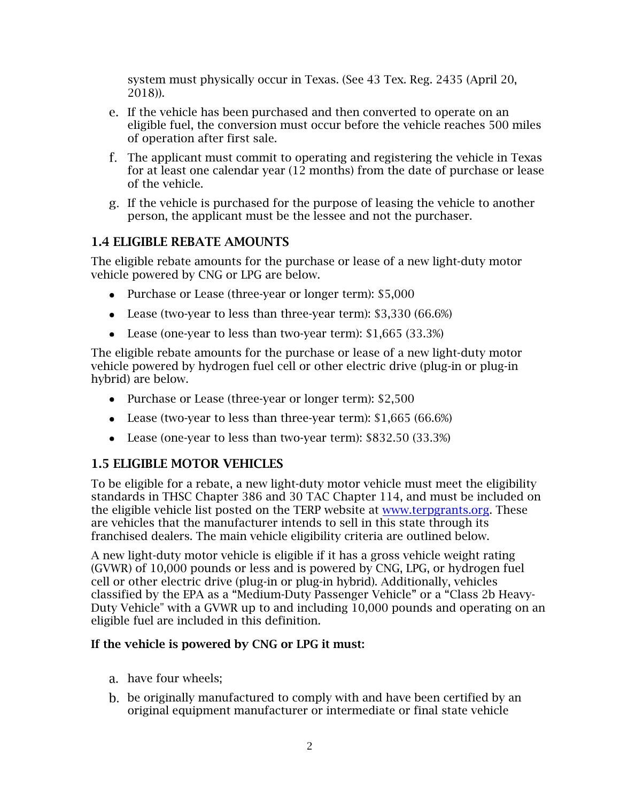system must physically occur in Texas. (See 43 Tex. Reg. 2435 (April 20,  $2018$ ).

- e. 2018)). If the vehicle has been purchased and then converted to operate on an eligible fuel, the conversion must occur before the vehicle reaches 500 miles of operation after first sale.
- f. The applicant must commit to operating and registering the vehicle in Texas for at least one calendar year (12 months) from the date of purchase or lease of the vehicle.
- g. If the vehicle is purchased for the purpose of leasing the vehicle to another person, the applicant must be the lessee and not the purchaser.

### <span id="page-4-0"></span>1.4 ELIGIBLE REBATE AMOUNTS

The eligible rebate amounts for the purchase or lease of a new light-duty motor vehicle powered by CNG or LPG are below.

- Purchase or Lease (three-year or longer term): \$5,000
- Lease (two-year to less than three-year term): \$3,330 (66.6%)
- Lease (one-year to less than two-year term): \$1,665 (33.3%)

The eligible rebate amounts for the purchase or lease of a new light-duty motor vehicle powered by hydrogen fuel cell or other electric drive (plug-in or plug-in hybrid) are below.

- Purchase or Lease (three-year or longer term): \$2,500
- Lease (two-year to less than three-year term): \$1,665 (66.6%)
- Lease (one-year to less than two-year term): \$832.50 (33.3%)

## <span id="page-4-1"></span>1.5 ELIGIBLE MOTOR VEHICLES

To be eligible for a rebate, a new light-duty motor vehicle must meet the eligibility standards in THSC Chapter 386 and 30 TAC Chapter 114, and must be included on the eligible vehicle list posted on the TERP website a[t www.terpgrants.org.](http://www.terpgrants.org/) These are vehicles that the manufacturer intends to sell in this state through its franchised dealers. The main vehicle eligibility criteria are outlined below.

 (GVWR) of 10,000 pounds or less and is powered by CNG, LPG, or hydrogen fuel Duty Vehicle" with a GVWR up to and including 10,000 pounds and operating on an A new light-duty motor vehicle is eligible if it has a gross vehicle weight rating cell or other electric drive (plug-in or plug-in hybrid). Additionally, vehicles classified by the EPA as a "Medium-Duty Passenger Vehicle" or a "Class 2b Heavyeligible fuel are included in this definition.

### If the vehicle is powered by CNG or LPG it must:

- a. have four wheels;
- b. be originally manufactured to comply with and have been certified by an original equipment manufacturer or intermediate or final state vehicle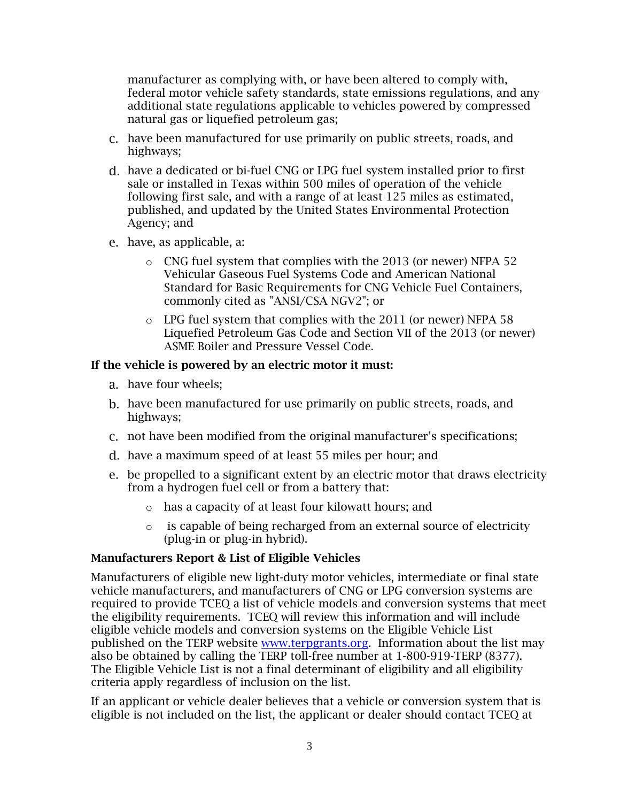manufacturer as complying with, or have been altered to comply with, federal motor vehicle safety standards, state emissions regulations, and any additional state regulations applicable to vehicles powered by compressed natural gas or liquefied petroleum gas;

- **C.**  have been manufactured for use primarily on public streets, roads, and highways;
- **d.**  have a dedicated or bi-fuel CNG or LPG fuel system installed prior to first published, and updated by the United States Environmental Protection sale or installed in Texas within 500 miles of operation of the vehicle following first sale, and with a range of at least 125 miles as estimated, Agency; and
- e. have, as applicable, a:
	- Standard for Basic Requirements for CNG Vehicle Fuel Containers, commonly cited as "ANSI/CSA NGV2"; or o CNG fuel system that complies with the 2013 (or newer) NFPA 52 Vehicular Gaseous Fuel Systems Code and American National
	- o LPG fuel system that complies with the 2011 (or newer) NFPA 58 Liquefied Petroleum Gas Code and Section VII of the 2013 (or newer) ASME Boiler and Pressure Vessel Code.

#### If the vehicle is powered by an electric motor it must:

- a. have four wheels;
- **b.**  have been manufactured for use primarily on public streets, roads, and highways;
- **C.**  not have been modified from the original manufacturer's specifications;
- **d.**  have a maximum speed of at least 55 miles per hour; and
- e. be propelled to a significant extent by an electric motor that draws electricity from a hydrogen fuel cell or from a battery that:
	- o has a capacity of at least four kilowatt hours; and
	- $\circ$  is capable of being recharged from an external source of electricity (plug-in or plug-in hybrid).

#### <span id="page-5-0"></span>Manufacturers Report & List of Eligible Vehicles

published on the TERP website [www.terpgrants.org.](http://www.terpgrants.org/) Information about the list may also be obtained by calling the TERP toll-free number at 1-800-919-TERP (8377). also be obtained by calling the TERP toll-free number at 1-800-919-TERP (8377). The Eligible Vehicle List is not a final determinant of eligibility and all eligibility Manufacturers of eligible new light-duty motor vehicles, intermediate or final state vehicle manufacturers, and manufacturers of CNG or LPG conversion systems are required to provide TCEQ a list of vehicle models and conversion systems that meet the eligibility requirements. TCEQ will review this information and will include eligible vehicle models and conversion systems on the Eligible Vehicle List criteria apply regardless of inclusion on the list.

 eligible is not included on the list, the applicant or dealer should contact TCEQ at If an applicant or vehicle dealer believes that a vehicle or conversion system that is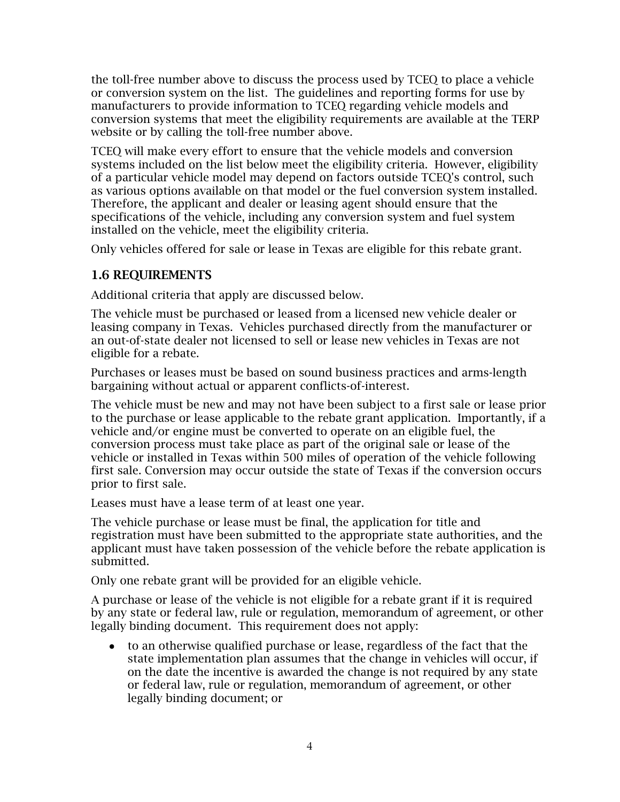the toll-free number above to discuss the process used by TCEQ to place a vehicle or conversion system on the list. The guidelines and reporting forms for use by manufacturers to provide information to TCEQ regarding vehicle models and conversion systems that meet the eligibility requirements are available at the TERP website or by calling the toll-free number above.

 systems included on the list below meet the eligibility criteria. However, eligibility as various options available on that model or the fuel conversion system installed. Therefore, the applicant and dealer or leasing agent should ensure that the specifications of the vehicle, including any conversion system and fuel system TCEQ will make every effort to ensure that the vehicle models and conversion of a particular vehicle model may depend on factors outside TCEQ's control, such installed on the vehicle, meet the eligibility criteria.

Only vehicles offered for sale or lease in Texas are eligible for this rebate grant.

#### 1.6 REQUIREMENTS

Additional criteria that apply are discussed below.

The vehicle must be purchased or leased from a licensed new vehicle dealer or leasing company in Texas. Vehicles purchased directly from the manufacturer or an out-of-state dealer not licensed to sell or lease new vehicles in Texas are not eligible for a rebate.

Purchases or leases must be based on sound business practices and arms-length bargaining without actual or apparent conflicts-of-interest.

 The vehicle must be new and may not have been subject to a first sale or lease prior to the purchase or lease applicable to the rebate grant application. Importantly, if a vehicle and/or engine must be converted to operate on an eligible fuel, the conversion process must take place as part of the original sale or lease of the vehicle or installed in Texas within 500 miles of operation of the vehicle following first sale. Conversion may occur outside the state of Texas if the conversion occurs prior to first sale.

Leases must have a lease term of at least one year.

The vehicle purchase or lease must be final, the application for title and registration must have been submitted to the appropriate state authorities, and the applicant must have taken possession of the vehicle before the rebate application is submitted.

Only one rebate grant will be provided for an eligible vehicle.

 A purchase or lease of the vehicle is not eligible for a rebate grant if it is required by any state or federal law, rule or regulation, memorandum of agreement, or other legally binding document. This requirement does not apply:

 or federal law, rule or regulation, memorandum of agreement, or other • to an otherwise qualified purchase or lease, regardless of the fact that the state implementation plan assumes that the change in vehicles will occur, if on the date the incentive is awarded the change is not required by any state legally binding document; or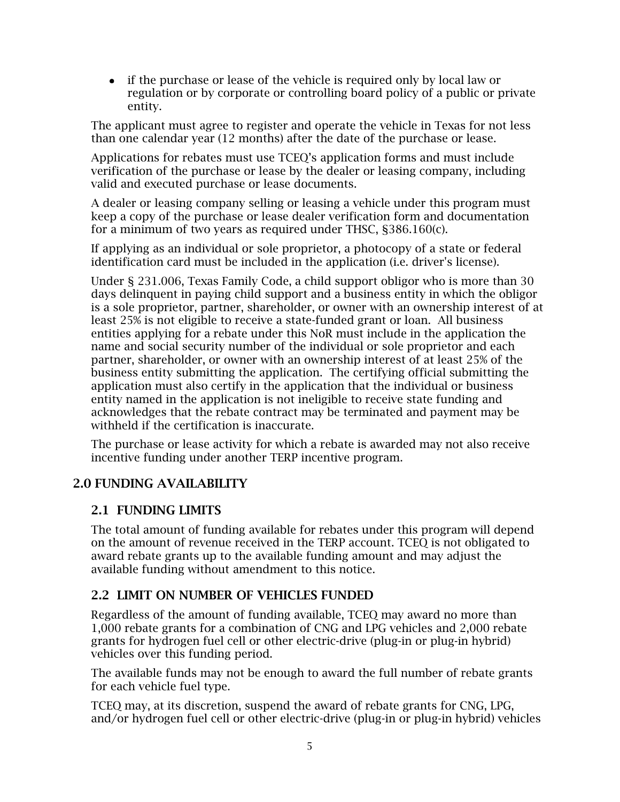• if the purchase or lease of the vehicle is required only by local law or regulation or by corporate or controlling board policy of a public or private entity.

The applicant must agree to register and operate the vehicle in Texas for not less than one calendar year (12 months) after the date of the purchase or lease.

 Applications for rebates must use TCEQ's application forms and must include verification of the purchase or lease by the dealer or leasing company, including valid and executed purchase or lease documents.

 for a minimum of two years as required under THSC, §386.160(c). A dealer or leasing company selling or leasing a vehicle under this program must keep a copy of the purchase or lease dealer verification form and documentation

If applying as an individual or sole proprietor, a photocopy of a state or federal identification card must be included in the application (i.e. driver's license).

 Under § 231.006, Texas Family Code, a child support obligor who is more than 30 days delinquent in paying child support and a business entity in which the obligor least 25% is not eligible to receive a state-funded grant or loan. All business name and social security number of the individual or sole proprietor and each application must also certify in the application that the individual or business is a sole proprietor, partner, shareholder, or owner with an ownership interest of at entities applying for a rebate under this NoR must include in the application the partner, shareholder, or owner with an ownership interest of at least 25% of the business entity submitting the application. The certifying official submitting the entity named in the application is not ineligible to receive state funding and acknowledges that the rebate contract may be terminated and payment may be withheld if the certification is inaccurate.

The purchase or lease activity for which a rebate is awarded may not also receive incentive funding under another TERP incentive program.

### <span id="page-7-1"></span><span id="page-7-0"></span>2.0 FUNDING AVAILABILITY

### 2.1 FUNDING LIMITS

The total amount of funding available for rebates under this program will depend on the amount of revenue received in the TERP account. TCEQ is not obligated to award rebate grants up to the available funding amount and may adjust the available funding without amendment to this notice.

### <span id="page-7-2"></span>2.2 LIMIT ON NUMBER OF VEHICLES FUNDED

 1,000 rebate grants for a combination of CNG and LPG vehicles and 2,000 rebate Regardless of the amount of funding available, TCEQ may award no more than grants for hydrogen fuel cell or other electric-drive (plug-in or plug-in hybrid) vehicles over this funding period.

 The available funds may not be enough to award the full number of rebate grants for each vehicle fuel type.

TCEO may, at its discretion, suspend the award of rebate grants for CNG, LPG, and/or hydrogen fuel cell or other electric-drive (plug-in or plug-in hybrid) vehicles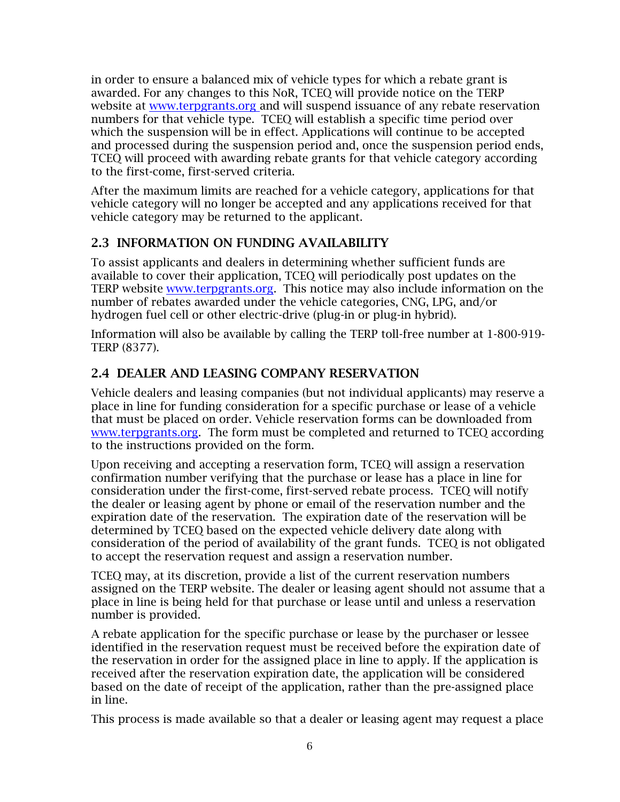in order to ensure a balanced mix of vehicle types for which a rebate grant is awarded. For any changes to this NoR, TCEQ will provide notice on the TERP website at <u>www.terpgrants.org</u> and will suspend issuance of any rebate reservation TCEQ will proceed with awarding rebate grants for that vehicle category according numbers for that vehicle type. TCEQ will establish a specific time period over which the suspension will be in effect. Applications will continue to be accepted and processed during the suspension period and, once the suspension period ends, to the first-come, first-served criteria.

After the maximum limits are reached for a vehicle category, applications for that vehicle category will no longer be accepted and any applications received for that vehicle category may be returned to the applicant.

## <span id="page-8-0"></span>2.3 INFORMATION ON FUNDING AVAILABILITY

 available to cover their application, TCEQ will periodically post updates on the TERP website [www.terpgrants.org.](http://www.terpgrants.org/) This notice may also include information on the To assist applicants and dealers in determining whether sufficient funds are number of rebates awarded under the vehicle categories, CNG, LPG, and/or hydrogen fuel cell or other electric-drive (plug-in or plug-in hybrid).

Information will also be available by calling the TERP toll-free number at 1-800-919- TERP (8377).

## <span id="page-8-1"></span>2.4 DEALER AND LEASING COMPANY RESERVATION

 Vehicle dealers and leasing companies (but not individual applicants) may reserve a [www.terpgrants.org.](http://www.terpgrants.org/) The form must be completed and returned to TCEQ according to the instructions provided on the form. place in line for funding consideration for a specific purchase or lease of a vehicle that must be placed on order. Vehicle reservation forms can be downloaded from

 confirmation number verifying that the purchase or lease has a place in line for consideration under the first-come, first-served rebate process. TCEQ will notify the dealer or leasing agent by phone or email of the reservation number and the Upon receiving and accepting a reservation form. TCEO will assign a reservation expiration date of the reservation. The expiration date of the reservation will be determined by TCEQ based on the expected vehicle delivery date along with consideration of the period of availability of the grant funds. TCEQ is not obligated to accept the reservation request and assign a reservation number.

 assigned on the TERP website. The dealer or leasing agent should not assume that a TCEQ may, at its discretion, provide a list of the current reservation numbers place in line is being held for that purchase or lease until and unless a reservation number is provided.

 based on the date of receipt of the application, rather than the pre-assigned place A rebate application for the specific purchase or lease by the purchaser or lessee identified in the reservation request must be received before the expiration date of the reservation in order for the assigned place in line to apply. If the application is received after the reservation expiration date, the application will be considered in line.

This process is made available so that a dealer or leasing agent may request a place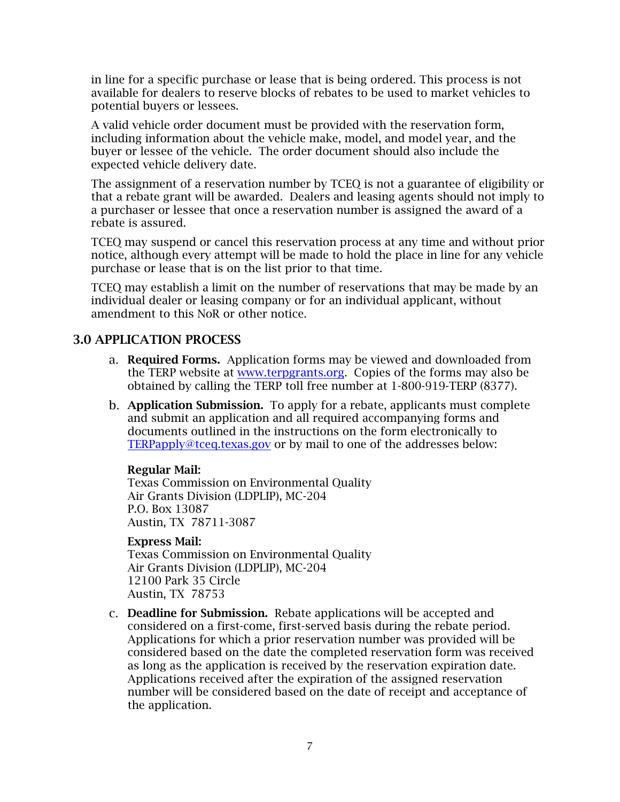in line for a specific purchase or lease that is being ordered. This process is not available for dealers to reserve blocks of rebates to be used to market vehicles to potential buyers or lessees.

 buyer or lessee of the vehicle. The order document should also include the A valid vehicle order document must be provided with the reservation form, including information about the vehicle make, model, and model year, and the expected vehicle delivery date.

 that a rebate grant will be awarded. Dealers and leasing agents should not imply to The assignment of a reservation number by TCEQ is not a guarantee of eligibility or a purchaser or lessee that once a reservation number is assigned the award of a rebate is assured.

 notice, although every attempt will be made to hold the place in line for any vehicle purchase or lease that is on the list prior to that time. TCEQ may suspend or cancel this reservation process at any time and without prior

 TCEQ may establish a limit on the number of reservations that may be made by an individual dealer or leasing company or for an individual applicant, without amendment to this NoR or other notice.

#### <span id="page-9-0"></span>3.0 APPLICATION PROCESS

- the TERP website at <u>www.terpgrants.org</u>. Copies of the forms may also be a. Required Forms. Application forms may be viewed and downloaded from obtained by calling the TERP toll free number at 1-800-919-TERP (8377).
- **b.**  Application Submission. To apply for a rebate, applicants must complete and submit an application and all required accompanying forms and documents outlined in the instructions on the form electronically to [TERPapply@tceq.texas.gov](mailto:TERPapply@tceq.texas.gov) or by mail to one of the addresses below:

#### Regular Mail:

Texas Commission on Environmental Quality Air Grants Division (LDPLIP), MC-204 P.O. Box 13087 Austin, TX 78711-3087

#### Express Mail:

Texas Commission on Environmental Quality Air Grants Division (LDPLIP), MC-204 12100 Park 35 Circle Austin, TX 78753

 **C.**  Deadline for Submission. Rebate applications will be accepted and considered on a first-come, first-served basis during the rebate period. Applications received after the expiration of the assigned reservation Applications for which a prior reservation number was provided will be considered based on the date the completed reservation form was received as long as the application is received by the reservation expiration date. number will be considered based on the date of receipt and acceptance of the application.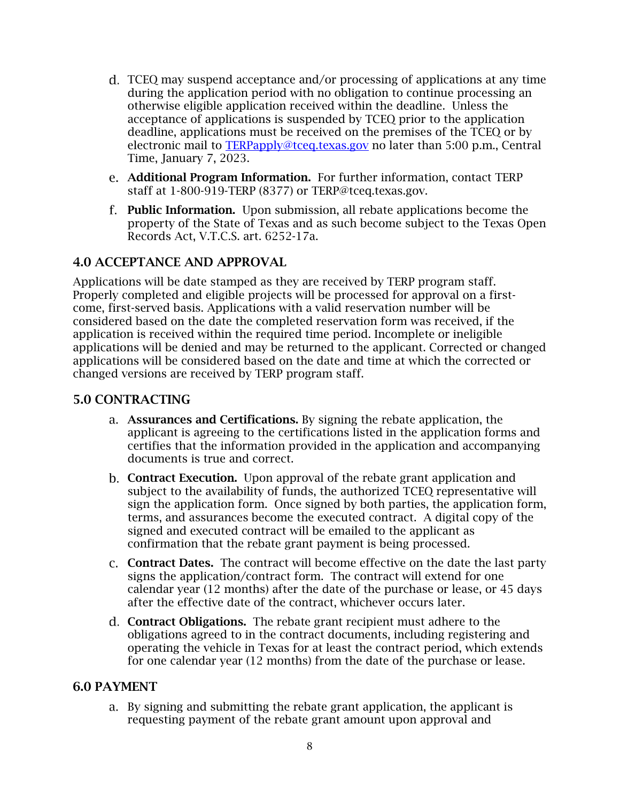- electronic mail to **TERPapply@tceq.texas.gov** no later than 5:00 p.m., Central d. TCEQ may suspend acceptance and/or processing of applications at any time during the application period with no obligation to continue processing an otherwise eligible application received within the deadline. Unless the acceptance of applications is suspended by TCEQ prior to the application deadline, applications must be received on the premises of the TCEQ or by Time, January 7, 2023.
- e. Additional Program Information. For further information, contact TERP staff at 1-800-919-TERP (8377) or [TERP@tceq.texas.gov.](mailto:TERP@tceq.texas.gov)
- f. Public Information. Upon submission, all rebate applications become the property of the State of Texas and as such become subject to the Texas Open Records Act, V.T.C.S. art. 6252-17a.

## <span id="page-10-0"></span>4.0 ACCEPTANCE AND APPROVAL

Applications will be date stamped as they are received by TERP program staff. Properly completed and eligible projects will be processed for approval on a firstcome, first-served basis. Applications with a valid reservation number will be considered based on the date the completed reservation form was received, if the application is received within the required time period. Incomplete or ineligible applications will be denied and may be returned to the applicant. Corrected or changed applications will be considered based on the date and time at which the corrected or changed versions are received by TERP program staff.

#### <span id="page-10-1"></span>5.0 CONTRACTING

- documents is true and correct. a. Assurances and Certifications. By signing the rebate application, the applicant is agreeing to the certifications listed in the application forms and certifies that the information provided in the application and accompanying
- b. Contract Execution. Upon approval of the rebate grant application and terms, and assurances become the executed contract. A digital copy of the signed and executed contract will be emailed to the applicant as confirmation that the rebate grant payment is being processed. subject to the availability of funds, the authorized TCEQ representative will sign the application form. Once signed by both parties, the application form,
- c. **Contract Dates.** The contract will become effective on the date the last party signs the application/contract form. The contract will extend for one calendar year (12 months) after the date of the purchase or lease, or 45 days after the effective date of the contract, whichever occurs later.
- d. Contract Obligations. The rebate grant recipient must adhere to the obligations agreed to in the contract documents, including registering and operating the vehicle in Texas for at least the contract period, which extends for one calendar year (12 months) from the date of the purchase or lease.

#### <span id="page-10-2"></span>6.0 PAYMENT

 a. By signing and submitting the rebate grant application, the applicant is requesting payment of the rebate grant amount upon approval and